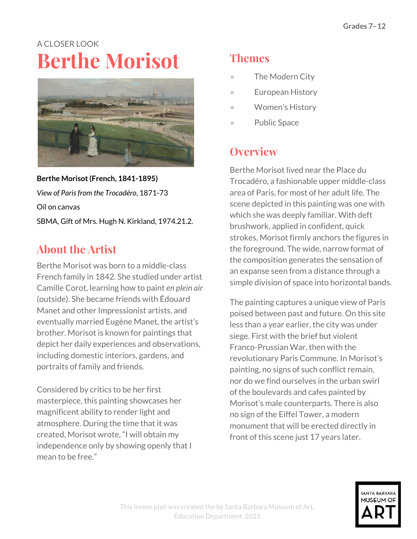# A CLOSER LOOK **Berthe Morisot**



**Berthe Morisot(French, 1841-1895)** *View of Parisfrom the Trocadéro*, 1871-73 Oil on canvas SBMA, Gift of Mrs. Hugh N. Kirkland, 1974.21.2.

# **About the Artist**

Berthe Morisot was born to a middle-class French family in 1842. She studied under artist Camille Corot, learning how to paint *en plein air* (outside). She became friends with Édouard Manet and other Impressionist artists, and eventually married Eugène Manet, the artist's brother. Morisot is known for paintings that depict her daily experiences and observations, including domestic interiors, gardens, and portraits of family and friends.

Considered by critics to be her first masterpiece, this painting showcases her magnificent ability to render light and atmosphere. During the time that it was created, Morisot wrote, "I will obtain my independence only by showing openly that I mean to be free."

# **Themes**

- The Modern City
- European History
- Women's History
- Public Space

### **Overview**

Berthe Morisot lived near the Place du Trocadéro, a fashionable upper middle-class area of Paris, for most of her adult life. The scene depicted in this painting was one with which she was deeply familiar. With deft brushwork, applied in confident, quick strokes, Morisot firmly anchors the figures in the foreground. The wide, narrow format of the composition generates the sensation of an expanse seen from a distance through a simple division of space into horizontal bands.

The painting captures a unique view of Paris poised between past and future. On this site less than a year earlier, the city was under siege. First with the brief but violent Franco-Prussian War, then with the revolutionary Paris Commune. In Morisot's painting, no signs of such conflict remain, nor do we find ourselves in the urban swirl of the boulevards and cafes painted by Morisot's male counterparts. There is also no sign of the Eiffel Tower, a modern monument that will be erected directly in front of this scene just 17 years later.

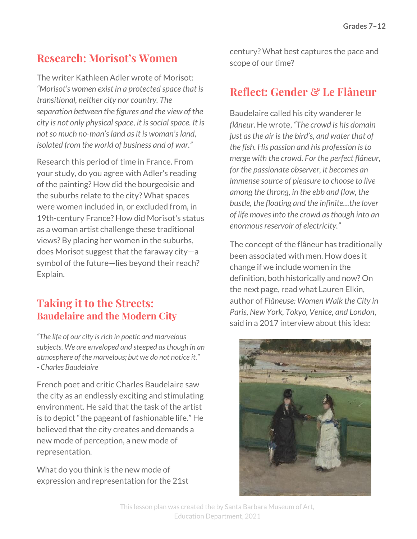### **Research: Morisot's Women**

The writer Kathleen Adler wrote of Morisot: *"Morisot's women exist in a protected space that is transitional, neither city nor country. The separation between the figures and the view of the city is not only physicalspace, it issocialspace. It is notso much no-man'sland asit is woman'sland, isolated from the world of business and of war."*

Research this period of time in France. From your study, do you agree with Adler's reading of the painting? How did the bourgeoisie and the suburbs relate to the city? What spaces were women included in, or excluded from, in 19th-century France? How did Morisot's status as a woman artist challenge these traditional views? By placing her women in the suburbs, does Morisot suggest that the faraway city—a symbol of the future—lies beyond their reach? Explain.

#### **Taking it to the Streets: Baudelaire and the Modern City**

*"The life of our city isrich in poetic and marvelous subjects. We are enveloped and steeped asthough in an atmosphere of the marvelous; but we do not notice it." - Charles Baudelaire*

French poet and critic Charles Baudelaire saw the city as an endlessly exciting and stimulating environment. He said that the task of the artist is to depict "the pageant of fashionable life." He believed that the city creates and demands a new mode of perception, a new mode of representation.

What do you think is the new mode of expression and representation for the 21st century? What best captures the pace and scope of our time?

### **Reflect: Gender & Le Flâneur**

Baudelaire called his city wanderer *le flâneur*. He wrote, *"The crowd is his domain just asthe air isthe bird's, and water that of the fish. His passion and his profession isto merge with the crowd. For the perfect flâneur, for the passionate observer, it becomes an immense source of pleasure to choose to live among the throng, in the ebb and flow, the bustle, the floating and the infinite…the lover of life movesinto the crowd asthough into an enormous reservoir of electricity."* 

The concept of the flâneur has traditionally been associated with men. How does it change if we include women in the definition, both historically and now? On the next page, read what Lauren Elkin, author of *Flâneuse: Women Walk the City in Paris, New York, Tokyo, Venice, and London*, said in a 2017 interview about this idea:



This lesson plan was created the by Santa Barbara Museum of Art, Education Department, 2021